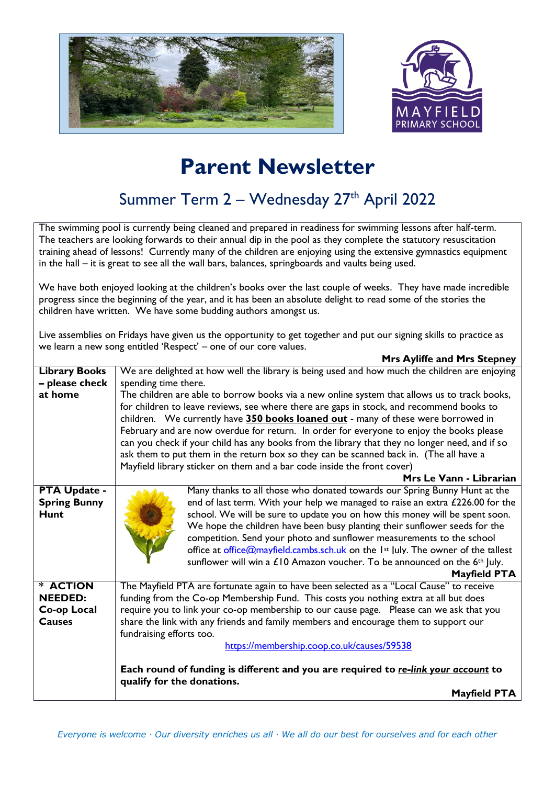



## **Parent Newsletter**

## Summer Term 2 – Wednesday 27<sup>th</sup> April 2022

The swimming pool is currently being cleaned and prepared in readiness for swimming lessons after half-term. The teachers are looking forwards to their annual dip in the pool as they complete the statutory resuscitation training ahead of lessons! Currently many of the children are enjoying using the extensive gymnastics equipment in the hall – it is great to see all the wall bars, balances, springboards and vaults being used.

We have both enjoyed looking at the children's books over the last couple of weeks. They have made incredible progress since the beginning of the year, and it has been an absolute delight to read some of the stories the children have written. We have some budding authors amongst us.

Live assemblies on Fridays have given us the opportunity to get together and put our signing skills to practice as we learn a new song entitled 'Respect' – one of our core values. **Mrs Ayliffe and Mrs Stepney**

|                                                           | $\cdots$ $\cdots$ $\cdots$ $\cdots$ $\cdots$ $\cdots$ $\cdots$ $\cdots$ $\cdots$                                                                                                                                                                                                                                                                                                                                                                                                                                                                                                                         |  |  |
|-----------------------------------------------------------|----------------------------------------------------------------------------------------------------------------------------------------------------------------------------------------------------------------------------------------------------------------------------------------------------------------------------------------------------------------------------------------------------------------------------------------------------------------------------------------------------------------------------------------------------------------------------------------------------------|--|--|
| <b>Library Books</b>                                      | We are delighted at how well the library is being used and how much the children are enjoying                                                                                                                                                                                                                                                                                                                                                                                                                                                                                                            |  |  |
| - please check                                            | spending time there.                                                                                                                                                                                                                                                                                                                                                                                                                                                                                                                                                                                     |  |  |
| at home                                                   | The children are able to borrow books via a new online system that allows us to track books,                                                                                                                                                                                                                                                                                                                                                                                                                                                                                                             |  |  |
|                                                           | for children to leave reviews, see where there are gaps in stock, and recommend books to                                                                                                                                                                                                                                                                                                                                                                                                                                                                                                                 |  |  |
|                                                           | children. We currently have 350 books loaned out - many of these were borrowed in                                                                                                                                                                                                                                                                                                                                                                                                                                                                                                                        |  |  |
|                                                           | February and are now overdue for return. In order for everyone to enjoy the books please                                                                                                                                                                                                                                                                                                                                                                                                                                                                                                                 |  |  |
|                                                           | can you check if your child has any books from the library that they no longer need, and if so                                                                                                                                                                                                                                                                                                                                                                                                                                                                                                           |  |  |
|                                                           | ask them to put them in the return box so they can be scanned back in. (The all have a                                                                                                                                                                                                                                                                                                                                                                                                                                                                                                                   |  |  |
|                                                           | Mayfield library sticker on them and a bar code inside the front cover)                                                                                                                                                                                                                                                                                                                                                                                                                                                                                                                                  |  |  |
|                                                           | Mrs Le Vann - Librarian                                                                                                                                                                                                                                                                                                                                                                                                                                                                                                                                                                                  |  |  |
| <b>PTA Update -</b><br><b>Spring Bunny</b><br><b>Hunt</b> | Many thanks to all those who donated towards our Spring Bunny Hunt at the<br>end of last term. With your help we managed to raise an extra £226.00 for the<br>school. We will be sure to update you on how this money will be spent soon.<br>We hope the children have been busy planting their sunflower seeds for the<br>competition. Send your photo and sunflower measurements to the school<br>office at office@mayfield.cambs.sch.uk on the 1 <sup>st</sup> July. The owner of the tallest<br>sunflower will win a $£10$ Amazon voucher. To be announced on the $6th$ July.<br><b>Mayfield PTA</b> |  |  |
| * ACTION                                                  | The Mayfield PTA are fortunate again to have been selected as a "Local Cause" to receive                                                                                                                                                                                                                                                                                                                                                                                                                                                                                                                 |  |  |
| <b>NEEDED:</b>                                            | funding from the Co-op Membership Fund. This costs you nothing extra at all but does                                                                                                                                                                                                                                                                                                                                                                                                                                                                                                                     |  |  |
| Co-op Local                                               | require you to link your co-op membership to our cause page. Please can we ask that you                                                                                                                                                                                                                                                                                                                                                                                                                                                                                                                  |  |  |
| <b>Causes</b>                                             | share the link with any friends and family members and encourage them to support our                                                                                                                                                                                                                                                                                                                                                                                                                                                                                                                     |  |  |
|                                                           | fundraising efforts too.                                                                                                                                                                                                                                                                                                                                                                                                                                                                                                                                                                                 |  |  |
|                                                           | https://membership.coop.co.uk/causes/59538                                                                                                                                                                                                                                                                                                                                                                                                                                                                                                                                                               |  |  |
|                                                           | Each round of funding is different and you are required to re-link your account to<br>qualify for the donations.                                                                                                                                                                                                                                                                                                                                                                                                                                                                                         |  |  |
|                                                           | <b>Mayfield PTA</b>                                                                                                                                                                                                                                                                                                                                                                                                                                                                                                                                                                                      |  |  |